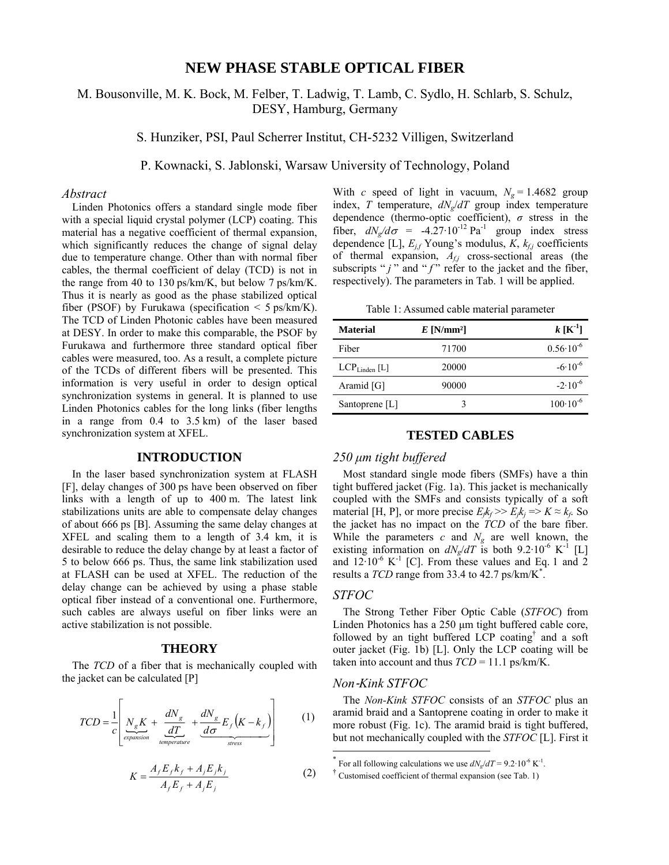# **NEW PHASE STABLE OPTICAL FIBER**

# M. Bousonville, M. K. Bock, M. Felber, T. Ladwig, T. Lamb, C. Sydlo, H. Schlarb, S. Schulz, DESY, Hamburg, Germany

S. Hunziker, PSI, Paul Scherrer Institut, CH-5232 Villigen, Switzerland

P. Kownacki, S. Jablonski, Warsaw University of Technology, Poland

## *Abstract*

Linden Photonics offers a standard single mode fiber with a special liquid crystal polymer (LCP) coating. This material has a negative coefficient of thermal expansion, which significantly reduces the change of signal delay due to temperature change. Other than with normal fiber cables, the thermal coefficient of delay (TCD) is not in the range from 40 to 130 ps/km/K, but below 7 ps/km/K. Thus it is nearly as good as the phase stabilized optical fiber (PSOF) by Furukawa (specification  $\leq$  5 ps/km/K). The TCD of Linden Photonic cables have been measured at DESY. In order to make this comparable, the PSOF by Furukawa and furthermore three standard optical fiber cables were measured, too. As a result, a complete picture of the TCDs of different fibers will be presented. This information is very useful in order to design optical synchronization systems in general. It is planned to use Linden Photonics cables for the long links (fiber lengths in a range from 0.4 to 3.5 km) of the laser based synchronization system at XFEL.

## **INTRODUCTION**

In the laser based synchronization system at FLASH [F], delay changes of 300 ps have been observed on fiber links with a length of up to 400 m. The latest link stabilizations units are able to compensate delay changes of about 666 ps [B]. Assuming the same delay changes at XFEL and scaling them to a length of 3.4 km, it is desirable to reduce the delay change by at least a factor of 5 to below 666 ps. Thus, the same link stabilization used at FLASH can be used at XFEL. The reduction of the delay change can be achieved by using a phase stable optical fiber instead of a conventional one. Furthermore, such cables are always useful on fiber links were an active stabilization is not possible.

#### **THEORY**

The *TCD* of a fiber that is mechanically coupled with the jacket can be calculated [P]

$$
TCD = \frac{1}{c} \left[ \underbrace{N_g K}_{\text{expansion}} + \underbrace{\frac{dN_g}{dT}}_{\text{temperature}} + \underbrace{\frac{dN_g}{d\sigma} E_f (K - k_f)}_{\text{stress}} \right] \tag{1}
$$

$$
K = \frac{A_f E_f k_f + A_j E_j k_j}{A_f E_f + A_j E_j}
$$
 (2)

With *c* speed of light in vacuum,  $N_g = 1.4682$  group index,  $T$  temperature,  $dN_e/dT$  group index temperature dependence (thermo-optic coefficient), *σ* stress in the fiber,  $dN_g/d\sigma = -4.27 \cdot 10^{-12}$  Pa<sup>-1</sup> group index stress dependence [L],  $E_{i,f}$  Young's modulus,  $K$ ,  $k_{f,i}$  coefficients of thermal expansion, *Af,j* cross-sectional areas (the subscripts " $j$ " and " $f$ " refer to the jacket and the fiber, respectively). The parameters in Tab. 1 will be applied.

Table 1: Assumed cable material parameter

| <b>Material</b>             | $E$ [N/mm <sup>2</sup> ] | $k$ [K <sup>-1</sup> ] |
|-----------------------------|--------------------------|------------------------|
| Fiber                       | 71700                    | $0.56 \cdot 10^{-6}$   |
| $LCP$ <sub>Linden</sub> [L] | 20000                    | $-6.10^{-6}$           |
| Aramid [G]                  | 90000                    | $-2.10^{-6}$           |
| Santoprene $[L]$            | 3                        | $100 \cdot 10^{-6}$    |

## **TESTED CABLES**

#### *250 μm tight buffered*

Most standard single mode fibers (SMFs) have a thin tight buffered jacket (Fig. 1a). This jacket is mechanically coupled with the SMFs and consists typically of a soft material [H, P], or more precise  $E_{k}k_f \geq E_{jk} = K \approx k_f$ . So the jacket has no impact on the *TCD* of the bare fiber. While the parameters  $c$  and  $N_g$  are well known, the existing information on  $dN_e/dT$  is both 9.2·10<sup>-6</sup> K<sup>-1</sup> [L] and  $12 \cdot 10^{-6}$  K<sup>-1</sup> [C]. From these values and Eq. 1 and 2 results a  $TCD$  range from 33.4 to 42.7 ps/km/K<sup>\*</sup>.

## *STFOC*

l

The Strong Tether Fiber Optic Cable (*STFOC*) from Linden Photonics has a 250 μm tight buffered cable core, followed by an tight buffered LCP coating<sup>†</sup> and a soft outer jacket (Fig. 1b) [L]. Only the LCP coating will be taken into account and thus  $TCD = 11.1$  ps/km/K.

## *Non*‐*Kink STFOC*

The *Non-Kink STFOC* consists of an *STFOC* plus an aramid braid and a Santoprene coating in order to make it more robust (Fig. 1c). The aramid braid is tight buffered, but not mechanically coupled with the *STFOC* [L]. First it

<sup>\*</sup> For all following calculations we use  $dN_g/dT = 9.2 \cdot 10^{-6} \text{ K}^{-1}$ .

<sup>&</sup>lt;sup>†</sup> Customised coefficient of thermal expansion (see Tab. 1)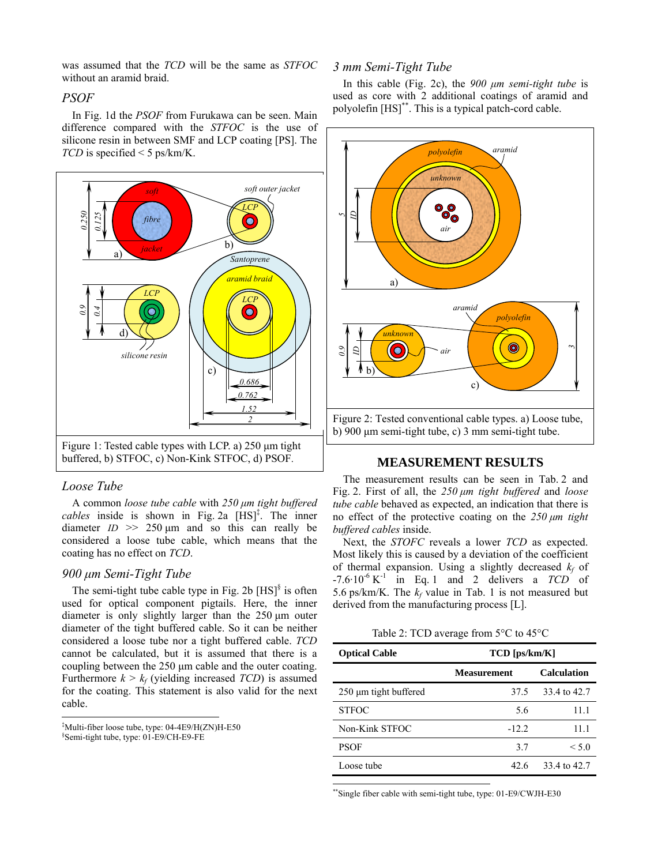was assumed that the *TCD* will be the same as *STFOC* without an aramid braid.

## *PSOF*

In Fig. 1d the *PSOF* from Furukawa can be seen. Main difference compared with the *STFOC* is the use of silicone resin in between SMF and LCP coating [PS]. The *TCD* is specified < 5 ps/km/K.



# *Loose Tube*

 $\overline{a}$ 

A common *loose tube cable* with *250 μm tight buffered*   $cables$  inside is shown in Fig. 2a  $[HS]^{\ddagger}$ . The inner diameter  $ID \gg 250 \mu m$  and so this can really be considered a loose tube cable, which means that the coating has no effect on *TCD*.

## *900 μm Semi-Tight Tube*

The semi-tight tube cable type in Fig. 2b  $[HS]^{\$}$  is often used for optical component pigtails. Here, the inner diameter is only slightly larger than the 250 μm outer diameter of the tight buffered cable. So it can be neither considered a loose tube nor a tight buffered cable. *TCD* cannot be calculated, but it is assumed that there is a coupling between the 250 μm cable and the outer coating. Furthermore  $k > k_f$  (yielding increased *TCD*) is assumed for the coating. This statement is also valid for the next cable.

‡ Multi-fiber loose tube, type: 04-4E9/H(ZN)H-E50 § Semi-tight tube, type: 01-E9/CH-E9-FE

## *3 mm Semi-Tight Tube*

In this cable (Fig. 2c), the *900 μm semi-tight tube* is used as core with 2 additional coatings of aramid and polyolefin [HS]\*\*. This is a typical patch-cord cable.



# **MEASUREMENT RESULTS**

The measurement results can be seen in Tab. 2 and Fig. 2. First of all, the *250 μm tight buffered* and *loose tube cable* behaved as expected, an indication that there is no effect of the protective coating on the *250 μm tight buffered cables* inside.

Next, the *STOFC* reveals a lower *TCD* as expected. Most likely this is caused by a deviation of the coefficient of thermal expansion. Using a slightly decreased  $k_f$  of  $-7.6 \cdot 10^{-6}$  K<sup>-1</sup> in Eq. 1 and 2 delivers a *TCD* of 5.6 ps/km/K. The  $k_f$  value in Tab. 1 is not measured but derived from the manufacturing process [L].

Table 2: TCD average from 5°C to 45°C

| <b>Optical Cable</b>  | $TCD$ [ps/km/K]    |                    |  |
|-----------------------|--------------------|--------------------|--|
|                       | <b>Measurement</b> | <b>Calculation</b> |  |
| 250 µm tight buffered | 37.5               | 33.4 to 42.7       |  |
| <b>STFOC</b>          | 5.6                | 11.1               |  |
| Non-Kink STFOC        | $-12.2$            | 11.1               |  |
| <b>PSOF</b>           | 3.7                | ${}< 5.0$          |  |
| Loose tube            | 42.6               | 33 4 to 42.7       |  |

\*\*Single fiber cable with semi-tight tube, type: 01-E9/CWJH-E30

l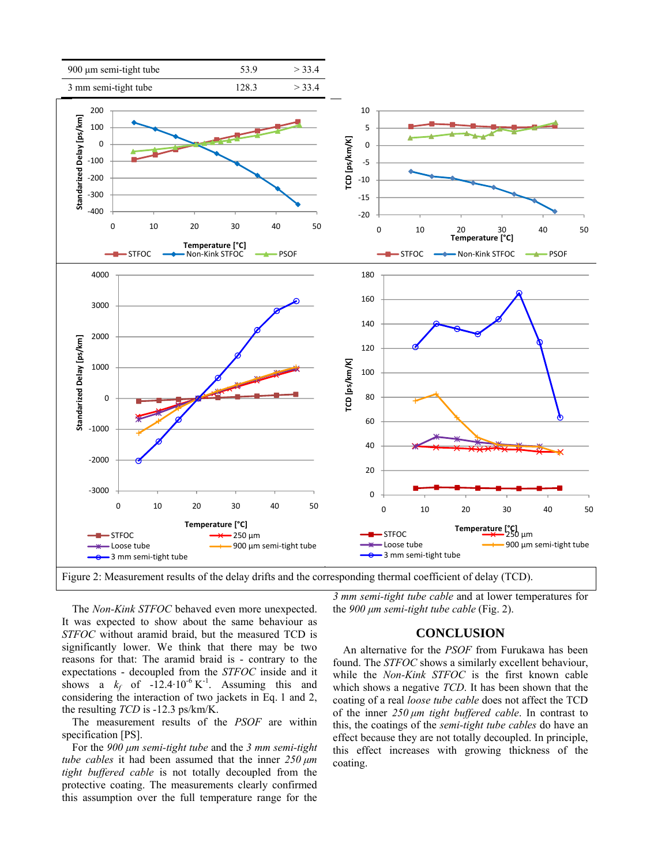

Figure 2: Measurement results of the delay drifts and the corresponding thermal coefficient of delay (TCD).

*3 mm semi-tight tube cable* and at lower temperatures for the *900 μm semi-tight tube cable* (Fig. 2).

# **CONCLUSION**

An alternative for the *PSOF* from Furukawa has been found. The *STFOC* shows a similarly excellent behaviour, while the *Non-Kink STFOC* is the first known cable which shows a negative *TCD*. It has been shown that the coating of a real *loose tube cable* does not affect the TCD of the inner *250 μm tight buffered cable*. In contrast to this, the coatings of the *semi-tight tube cables* do have an effect because they are not totally decoupled. In principle, this effect increases with growing thickness of the coating.

The *Non-Kink STFOC* behaved even more unexpected. It was expected to show about the same behaviour as *STFOC* without aramid braid, but the measured TCD is significantly lower. We think that there may be two reasons for that: The aramid braid is - contrary to the expectations - decoupled from the *STFOC* inside and it shows a  $k_f$  of  $-12.4 \cdot 10^{-6}$  K<sup>-1</sup>. Assuming this and considering the interaction of two jackets in Eq. 1 and 2, the resulting *TCD* is -12.3 ps/km/K.

The measurement results of the *PSOF* are within specification [PS].

For the *900 μm semi-tight tube* and the *3 mm semi-tight tube cables* it had been assumed that the inner *250 μm tight buffered cable* is not totally decoupled from the protective coating. The measurements clearly confirmed this assumption over the full temperature range for the